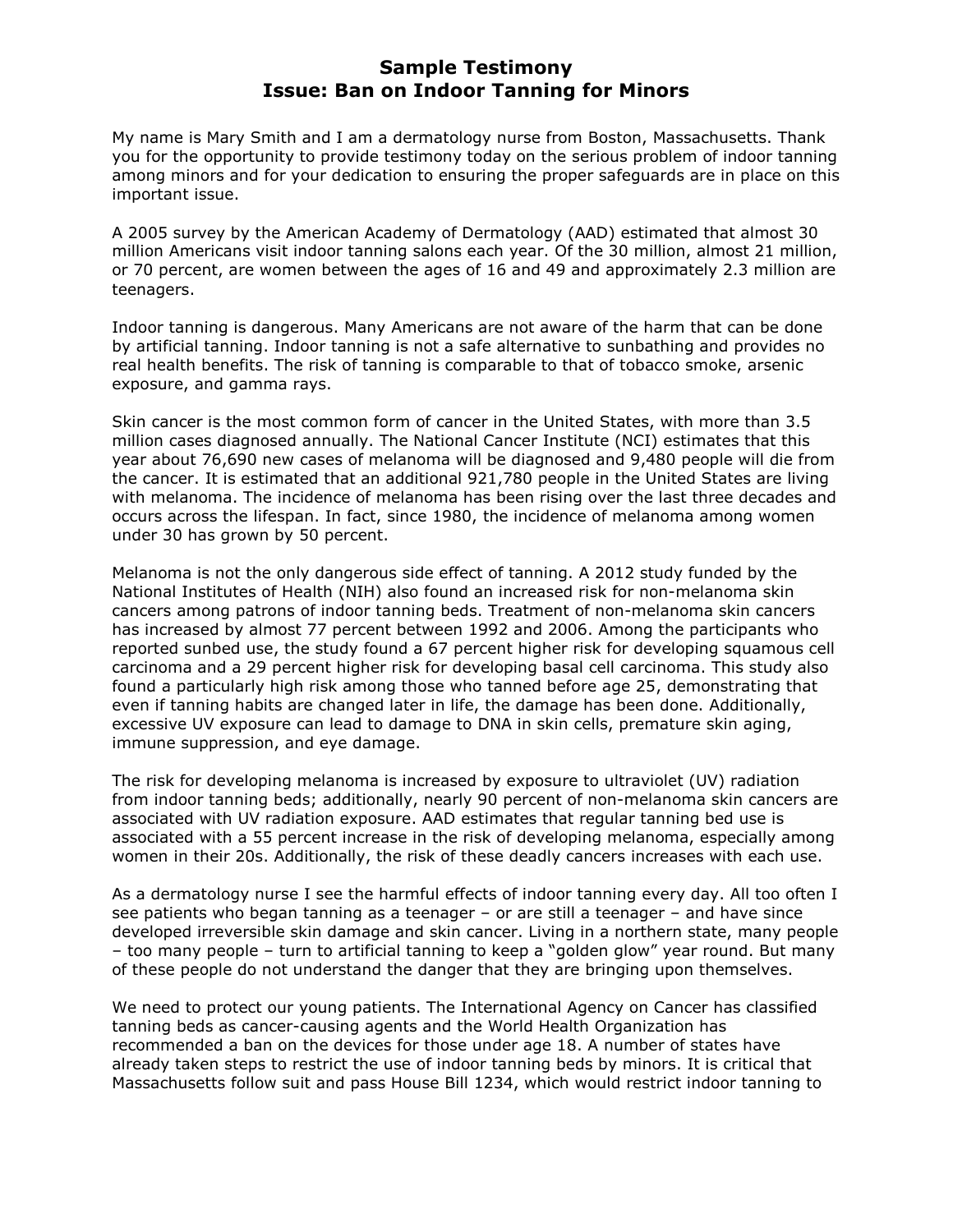## Sample Testimony Issue: Ban on Indoor Tanning for Minors

My name is Mary Smith and I am a dermatology nurse from Boston, Massachusetts. Thank you for the opportunity to provide testimony today on the serious problem of indoor tanning among minors and for your dedication to ensuring the proper safeguards are in place on this important issue.

A 2005 survey by the American Academy of Dermatology (AAD) estimated that almost 30 million Americans visit indoor tanning salons each year. Of the 30 million, almost 21 million, or 70 percent, are women between the ages of 16 and 49 and approximately 2.3 million are teenagers.

Indoor tanning is dangerous. Many Americans are not aware of the harm that can be done by artificial tanning. Indoor tanning is not a safe alternative to sunbathing and provides no real health benefits. The risk of tanning is comparable to that of tobacco smoke, arsenic exposure, and gamma rays.

Skin cancer is the most common form of cancer in the United States, with more than 3.5 million cases diagnosed annually. The National Cancer Institute (NCI) estimates that this year about 76,690 new cases of melanoma will be diagnosed and 9,480 people will die from the cancer. It is estimated that an additional 921,780 people in the United States are living with melanoma. The incidence of melanoma has been rising over the last three decades and occurs across the lifespan. In fact, since 1980, the incidence of melanoma among women under 30 has grown by 50 percent.

Melanoma is not the only dangerous side effect of tanning. A 2012 study funded by the National Institutes of Health (NIH) also found an increased risk for non-melanoma skin cancers among patrons of indoor tanning beds. Treatment of non-melanoma skin cancers has increased by almost 77 percent between 1992 and 2006. Among the participants who reported sunbed use, the study found a 67 percent higher risk for developing squamous cell carcinoma and a 29 percent higher risk for developing basal cell carcinoma. This study also found a particularly high risk among those who tanned before age 25, demonstrating that even if tanning habits are changed later in life, the damage has been done. Additionally, excessive UV exposure can lead to damage to DNA in skin cells, premature skin aging, immune suppression, and eye damage.

The risk for developing melanoma is increased by exposure to ultraviolet (UV) radiation from indoor tanning beds; additionally, nearly 90 percent of non-melanoma skin cancers are associated with UV radiation exposure. AAD estimates that regular tanning bed use is associated with a 55 percent increase in the risk of developing melanoma, especially among women in their 20s. Additionally, the risk of these deadly cancers increases with each use.

As a dermatology nurse I see the harmful effects of indoor tanning every day. All too often I see patients who began tanning as a teenager – or are still a teenager – and have since developed irreversible skin damage and skin cancer. Living in a northern state, many people – too many people – turn to artificial tanning to keep a "golden glow" year round. But many of these people do not understand the danger that they are bringing upon themselves.

We need to protect our young patients. The International Agency on Cancer has classified tanning beds as cancer-causing agents and the World Health Organization has recommended a ban on the devices for those under age 18. A number of states have already taken steps to restrict the use of indoor tanning beds by minors. It is critical that Massachusetts follow suit and pass House Bill 1234, which would restrict indoor tanning to